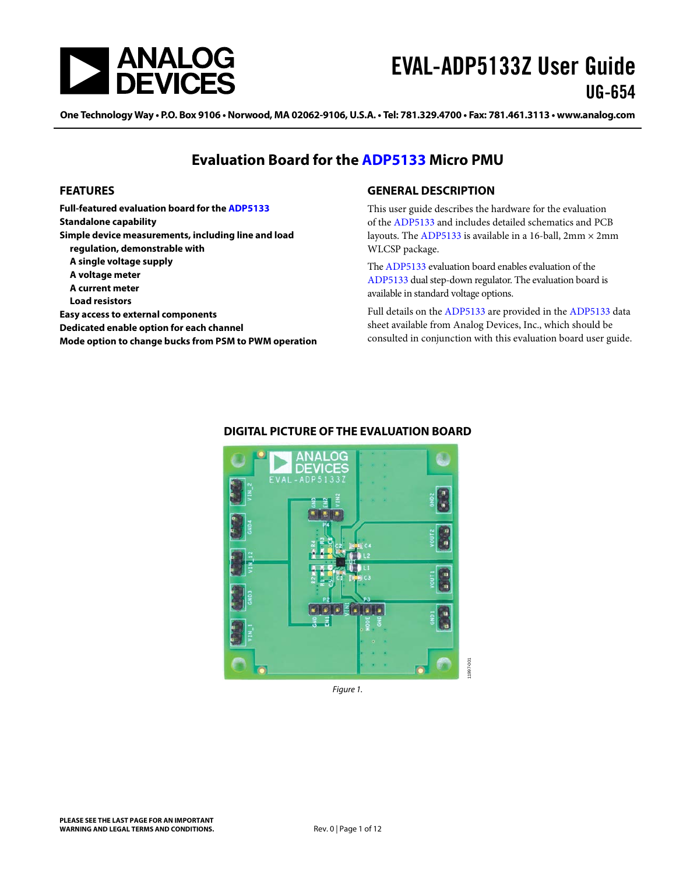

One Technology Way . P.O. Box 9106 . Norwood, MA 02062-9106, U.S.A. . Tel: 781.329.4700 . Fax: 781.461.3113 . www.analog.com

### **Evaluation Board for the [ADP5133](http://www.analog.com/adp5133?doc=EVAL-ADP5133Z_ug-654.pdf) Micro PMU**

#### <span id="page-0-0"></span>**FEATURES**

**Full-featured evaluation board for th[e ADP5133](http://www.analog.com/adp5133?doc=EVAL-ADP5133Z_ug-654.pdf) Standalone capability Simple device measurements, including line and load regulation, demonstrable with A single voltage supply A voltage meter A current meter Load resistors Easy access to external components Dedicated enable option for each channel Mode option to change bucks from PSM to PWM operation**

#### <span id="page-0-1"></span>**GENERAL DESCRIPTION**

This user guide describes the hardware for the evaluation of the [ADP5133](http://www.analog.com/adp5133?doc=EVAL-ADP5133Z_ug-654.pdf) and includes detailed schematics and PCB layouts. The [ADP5133](http://www.analog.com/adp5133?doc=EVAL-ADP5133Z_ug-654.pdf) is available in a 16-ball,  $2mm \times 2mm$ WLCSP package.

The [ADP5133](http://www.analog.com/adp5133?doc=EVAL-ADP5133Z_ug-654.pdf) evaluation board enables evaluation of the [ADP5133](http://www.analog.com/adp5133?doc=EVAL-ADP5133Z_ug-654.pdf) dual step-down regulator. The evaluation board is available in standard voltage options.

Full details on the [ADP5133](http://www.analog.com/adp5133?doc=EVAL-ADP5133Z_ug-654.pdf) are provided in the [ADP5133](http://www.analog.com/adp5133?doc=EVAL-ADP5133Z_ug-654.pdf) data sheet available from Analog Devices, Inc., which should be consulted in conjunction with this evaluation board user guide.



#### <span id="page-0-2"></span>**DIGITAL PICTURE OF THE EVALUATION BOARD**

*Figure 1.*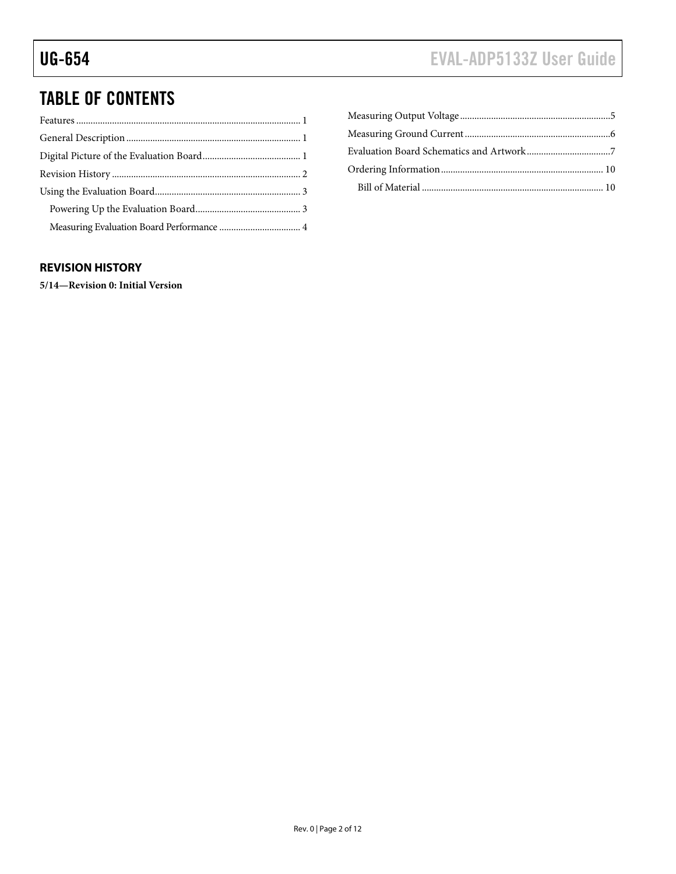# TABLE OF CONTENTS

### <span id="page-1-0"></span>**REVISION HISTORY**

**5/14—Revision 0: Initial Version**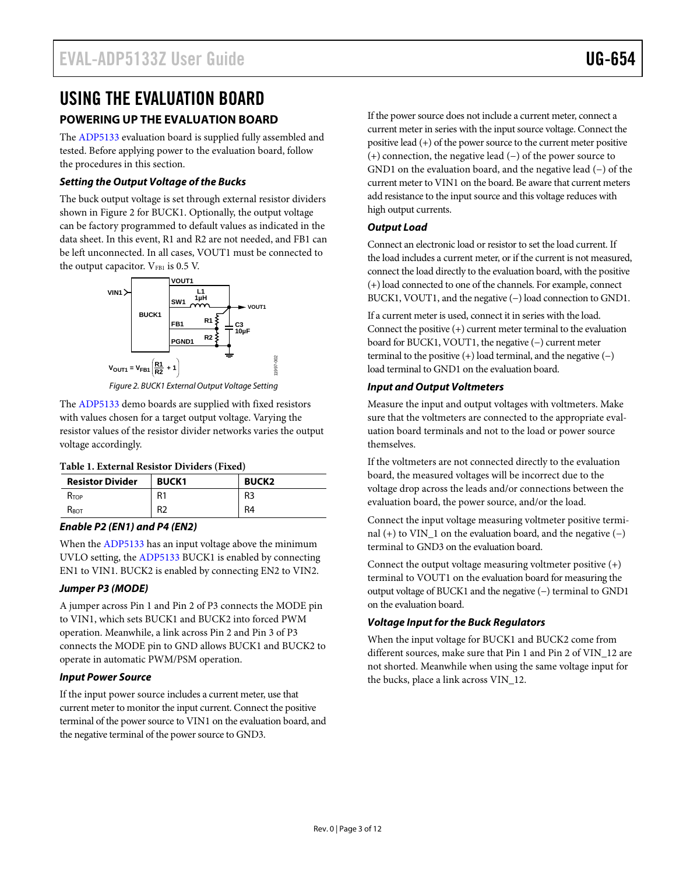### <span id="page-2-0"></span>USING THE EVALUATION BOARD **POWERING UP THE EVALUATION BOARD**

<span id="page-2-1"></span>The [ADP5133](http://www.analog.com/adp5133?doc=EVAL-ADP5133Z_ug-654.pdf) evaluation board is supplied fully assembled and tested. Before applying power to the evaluation board, follow the procedures in this section.

#### *Setting the Output Voltage of the Bucks*

The buck output voltage is set through external resistor dividers shown in [Figure 2](#page-2-2) for BUCK1. Optionally, the output voltage can be factory programmed to default values as indicated in the data sheet. In this event, R1 and R2 are not needed, and FB1 can be left unconnected. In all cases, VOUT1 must be connected to the output capacitor. VFB1 is 0.5 V.



*Figure 2. BUCK1 External Output Voltage Setting*

11997-002

<span id="page-2-2"></span>The [ADP5133](http://www.analog.com/adp5133?doc=EVAL-ADP5133Z_ug-654.pdf) demo boards are supplied with fixed resistors with values chosen for a target output voltage. Varying the resistor values of the resistor divider networks varies the output voltage accordingly.

#### **Table 1. External Resistor Dividers (Fixed)**

| <b>Resistor Divider</b> | <b>BUCK1</b> | <b>BUCK2</b>   |
|-------------------------|--------------|----------------|
| $R_{\text{TOP}}$        | R1           | R <sub>3</sub> |
| $R_{\text{BOT}}$        | R2           | R <sub>4</sub> |

#### *Enable P2 (EN1) and P4 (EN2)*

When th[e ADP5133](http://www.analog.com/adp5133?doc=EVAL-ADP5133Z_ug-654.pdf) has an input voltage above the minimum UVLO setting, the [ADP5133](http://www.analog.com/adp5133?doc=EVAL-ADP5133Z_ug-654.pdf) BUCK1 is enabled by connecting EN1 to VIN1. BUCK2 is enabled by connecting EN2 to VIN2.

#### *Jumper P3 (MODE)*

A jumper across Pin 1 and Pin 2 of P3 connects the MODE pin to VIN1, which sets BUCK1 and BUCK2 into forced PWM operation. Meanwhile, a link across Pin 2 and Pin 3 of P3 connects the MODE pin to GND allows BUCK1 and BUCK2 to operate in automatic PWM/PSM operation.

#### *Input Power Source*

If the input power source includes a current meter, use that current meter to monitor the input current. Connect the positive terminal of the power source to VIN1 on the evaluation board, and the negative terminal of the power source to GND3.

If the power source does not include a current meter, connect a current meter in series with the input source voltage. Connect the positive lead (+) of the power source to the current meter positive (+) connection, the negative lead (−) of the power source to GND1 on the evaluation board, and the negative lead (−) of the current meter to VIN1 on the board. Be aware that current meters add resistance to the input source and this voltage reduces with high output currents.

#### *Output Load*

Connect an electronic load or resistor to set the load current. If the load includes a current meter, or if the current is not measured, connect the load directly to the evaluation board, with the positive (+) load connected to one of the channels. For example, connect BUCK1, VOUT1, and the negative (−) load connection to GND1.

If a current meter is used, connect it in series with the load. Connect the positive (+) current meter terminal to the evaluation board for BUCK1, VOUT1, the negative (−) current meter terminal to the positive  $(+)$  load terminal, and the negative  $(-)$ load terminal to GND1 on the evaluation board.

#### *Input and Output Voltmeters*

Measure the input and output voltages with voltmeters. Make sure that the voltmeters are connected to the appropriate evaluation board terminals and not to the load or power source themselves.

If the voltmeters are not connected directly to the evaluation board, the measured voltages will be incorrect due to the voltage drop across the leads and/or connections between the evaluation board, the power source, and/or the load.

Connect the input voltage measuring voltmeter positive terminal (+) to VIN\_1 on the evaluation board, and the negative (−) terminal to GND3 on the evaluation board.

Connect the output voltage measuring voltmeter positive (+) terminal to VOUT1 on the evaluation board for measuring the output voltage of BUCK1 and the negative (−) terminal to GND1 on the evaluation board.

#### *Voltage Input for the Buck Regulators*

When the input voltage for BUCK1 and BUCK2 come from different sources, make sure that Pin 1 and Pin 2 of VIN\_12 are not shorted. Meanwhile when using the same voltage input for the bucks, place a link across VIN\_12.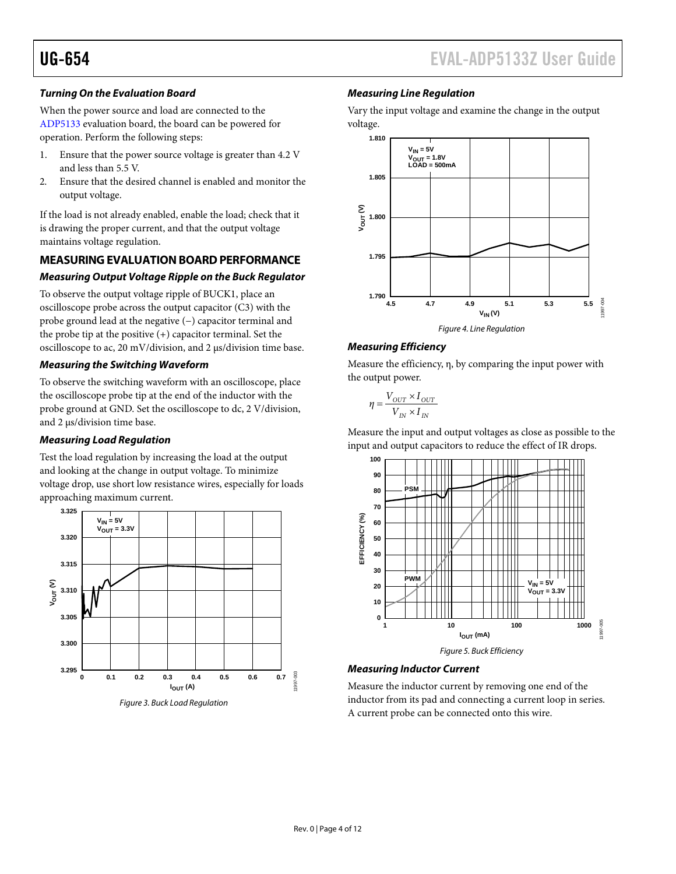#### *Turning On the Evaluation Board*

When the power source and load are connected to the [ADP5133](http://www.analog.com/adp5133?doc=EVAL-ADP5133Z_ug-654.pdf) evaluation board, the board can be powered for operation. Perform the following steps:

- 1. Ensure that the power source voltage is greater than 4.2 V and less than 5.5 V.
- 2. Ensure that the desired channel is enabled and monitor the output voltage.

If the load is not already enabled, enable the load; check that it is drawing the proper current, and that the output voltage maintains voltage regulation.

#### <span id="page-3-0"></span>**MEASURING EVALUATION BOARD PERFORMANCE**

#### *Measuring Output Voltage Ripple on the Buck Regulator*

To observe the output voltage ripple of BUCK1, place an oscilloscope probe across the output capacitor (C3) with the probe ground lead at the negative (−) capacitor terminal and the probe tip at the positive (+) capacitor terminal. Set the oscilloscope to ac, 20 mV/division, and 2 µs/division time base.

#### *Measuring the Switching Waveform*

To observe the switching waveform with an oscilloscope, place the oscilloscope probe tip at the end of the inductor with the probe ground at GND. Set the oscilloscope to dc, 2 V/division, and 2 µs/division time base.

#### *Measuring Load Regulation*

Test the load regulation by increasing the load at the output and looking at the change in output voltage. To minimize voltage drop, use short low resistance wires, especially for loads approaching maximum current.



#### *Measuring Line Regulation*

Vary the input voltage and examine the change in the output voltage.





Measure the efficiency, η, by comparing the input power with the output power.

$$
\eta = \frac{V_{OUT} \times I_{OUT}}{V_{IN} \times I_{IN}}
$$

Measure the input and output voltages as close as possible to the input and output capacitors to reduce the effect of IR drops.



#### *Measuring Inductor Current*

Measure the inductor current by removing one end of the inductor from its pad and connecting a current loop in series. A current probe can be connected onto this wire.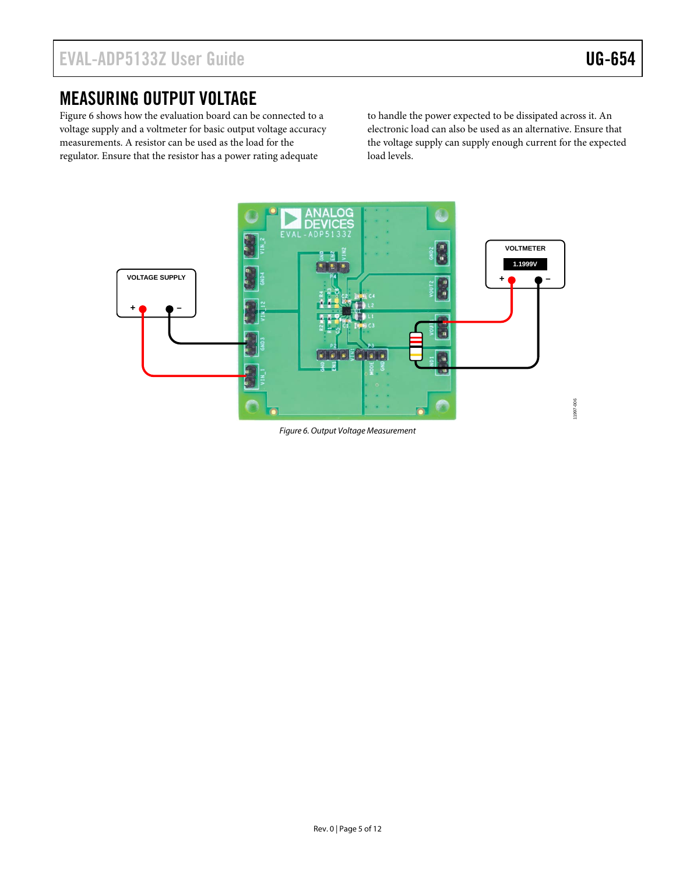### <span id="page-4-0"></span>MEASURING OUTPUT VOLTAGE

[Figure 6](#page-4-1) shows how the evaluation board can be connected to a voltage supply and a voltmeter for basic output voltage accuracy measurements. A resistor can be used as the load for the regulator. Ensure that the resistor has a power rating adequate

to handle the power expected to be dissipated across it. An electronic load can also be used as an alternative. Ensure that the voltage supply can supply enough current for the expected load levels.



<span id="page-4-1"></span>*Figure 6. Output Voltage Measurement*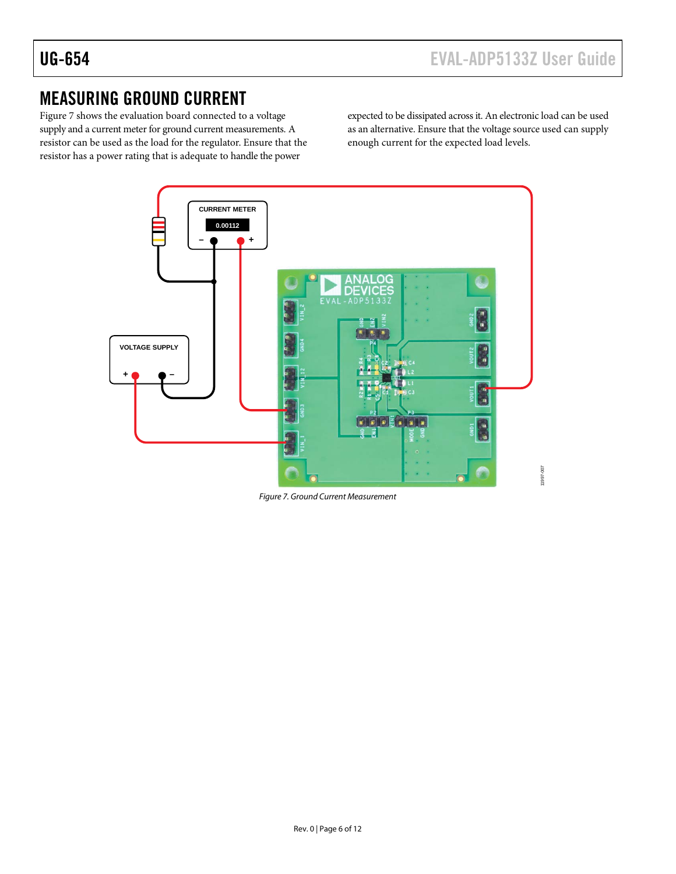### <span id="page-5-0"></span>MEASURING GROUND CURRENT

[Figure 7](#page-5-1) shows the evaluation board connected to a voltage supply and a current meter for ground current measurements. A resistor can be used as the load for the regulator. Ensure that the resistor has a power rating that is adequate to handle the power

expected to be dissipated across it. An electronic load can be used as an alternative. Ensure that the voltage source used can supply enough current for the expected load levels.



<span id="page-5-1"></span>*Figure 7. Ground Current Measurement*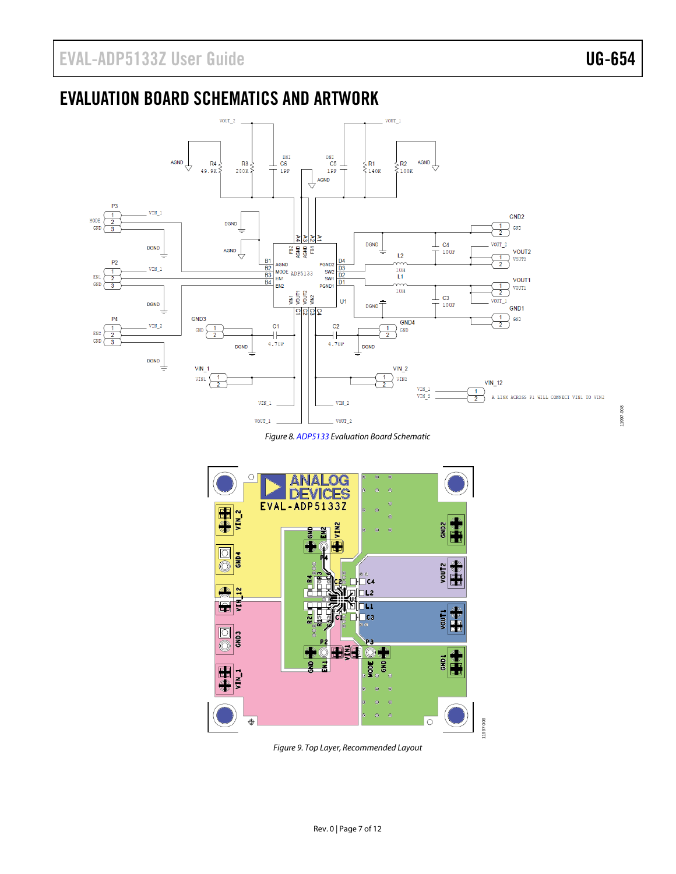### <span id="page-6-0"></span>EVALUATION BOARD SCHEMATICS AND ARTWORK



*Figure 8[. ADP5133](http://www.analog.com/adp5133?doc=EVAL-ADP5133Z_ug-654.pdf) Evaluation Board Schematic*



*Figure 9. Top Layer, Recommended Layout*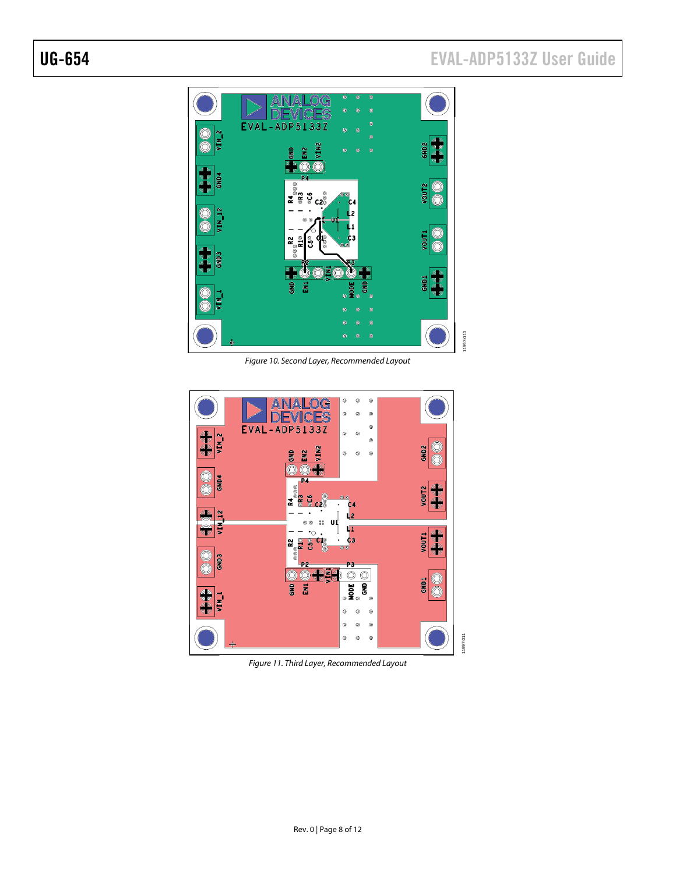# UG-654 EVAL-ADP5133Z User Guide



Figure 10. Second Layer, Recommended Layout



Figure 11. Third Layer, Recommended Layout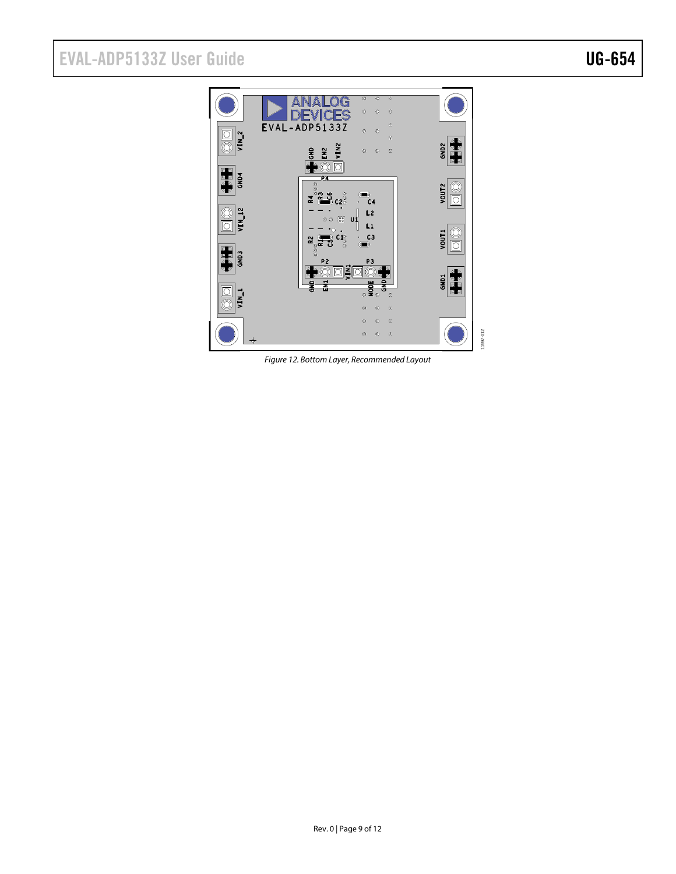# EVAL-ADP5133Z User Guide Valley Contract Contract Contract Contract Contract Contract Contract Contract Contract Contract Contract Contract Contract Contract Contract Contract Contract Contract Contract Contract Contract C



*Figure 12. Bottom Layer, Recommended Layout*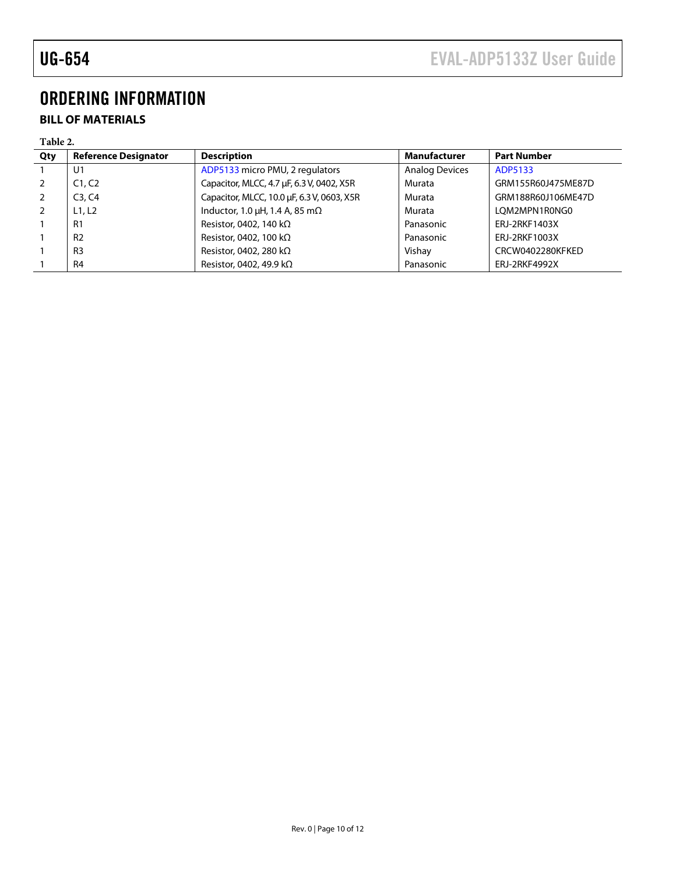# <span id="page-9-0"></span>ORDERING INFORMATION

### <span id="page-9-1"></span>**BILL OF MATERIALS**

#### **Table 2.**

| Qty            | <b>Reference Designator</b> | <b>Description</b>                          | <b>Manufacturer</b>   | <b>Part Number</b> |
|----------------|-----------------------------|---------------------------------------------|-----------------------|--------------------|
|                | U1                          | ADP5133 micro PMU, 2 regulators             | <b>Analog Devices</b> | ADP5133            |
|                | C1, C2                      | Capacitor, MLCC, 4.7 µF, 6.3 V, 0402, X5R   | Murata                | GRM155R60J475ME87D |
| 2              | C3, C4                      | Capacitor, MLCC, 10.0 µF, 6.3 V, 0603, X5R  | Murata                | GRM188R60J106ME47D |
| $\overline{z}$ | L1, L2                      | Inductor, 1.0 $\mu$ H, 1.4 A, 85 m $\Omega$ | Murata                | LOM2MPN1R0NG0      |
|                | R <sub>1</sub>              | Resistor, 0402, 140 k $\Omega$              | Panasonic             | ERJ-2RKF1403X      |
|                | R <sub>2</sub>              | Resistor, 0402, 100 k $\Omega$              | Panasonic             | ERJ-2RKF1003X      |
|                | R <sub>3</sub>              | Resistor, 0402, 280 kΩ                      | Vishay                | CRCW0402280KFKED   |
|                | R <sub>4</sub>              | Resistor, 0402, 49.9 k $\Omega$             | Panasonic             | ERJ-2RKF4992X      |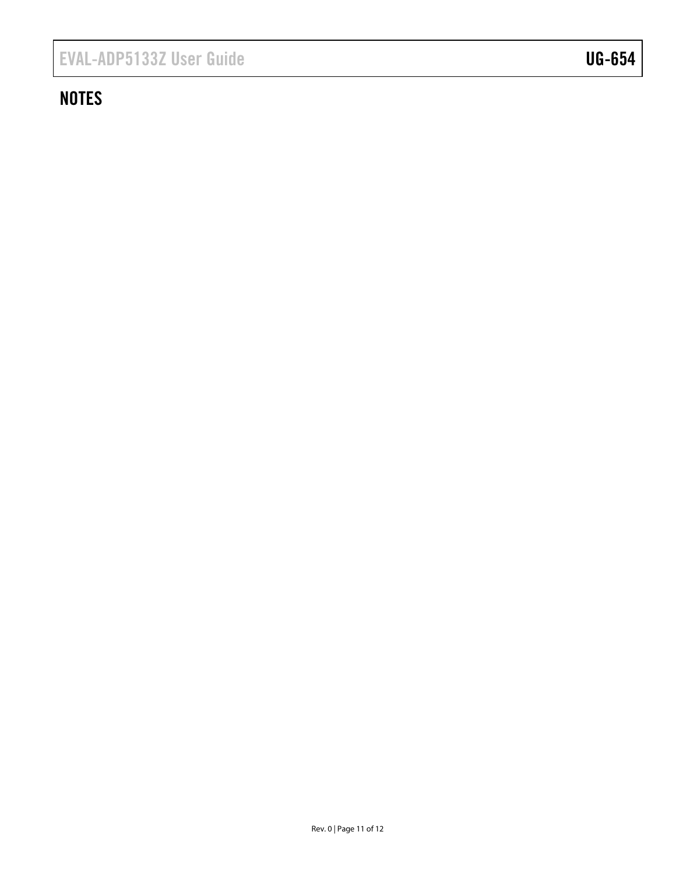# **NOTES**